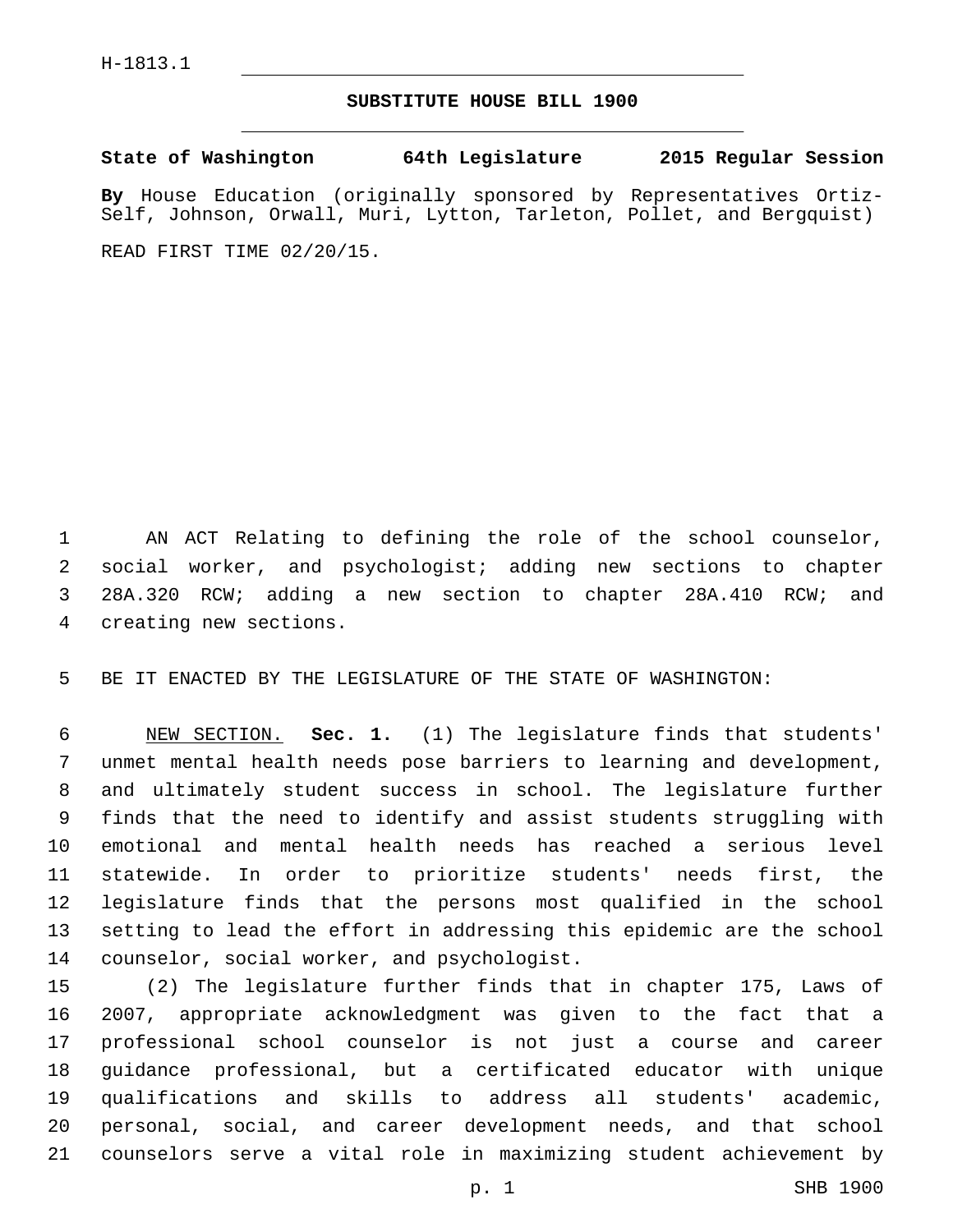## **SUBSTITUTE HOUSE BILL 1900**

**State of Washington 64th Legislature 2015 Regular Session By** House Education (originally sponsored by Representatives Ortiz-Self, Johnson, Orwall, Muri, Lytton, Tarleton, Pollet, and Bergquist) READ FIRST TIME 02/20/15.

 AN ACT Relating to defining the role of the school counselor, social worker, and psychologist; adding new sections to chapter 28A.320 RCW; adding a new section to chapter 28A.410 RCW; and 4 creating new sections.

BE IT ENACTED BY THE LEGISLATURE OF THE STATE OF WASHINGTON:

 NEW SECTION. **Sec. 1.** (1) The legislature finds that students' unmet mental health needs pose barriers to learning and development, and ultimately student success in school. The legislature further finds that the need to identify and assist students struggling with emotional and mental health needs has reached a serious level statewide. In order to prioritize students' needs first, the legislature finds that the persons most qualified in the school setting to lead the effort in addressing this epidemic are the school counselor, social worker, and psychologist.

 (2) The legislature further finds that in chapter 175, Laws of 2007, appropriate acknowledgment was given to the fact that a professional school counselor is not just a course and career guidance professional, but a certificated educator with unique qualifications and skills to address all students' academic, personal, social, and career development needs, and that school counselors serve a vital role in maximizing student achievement by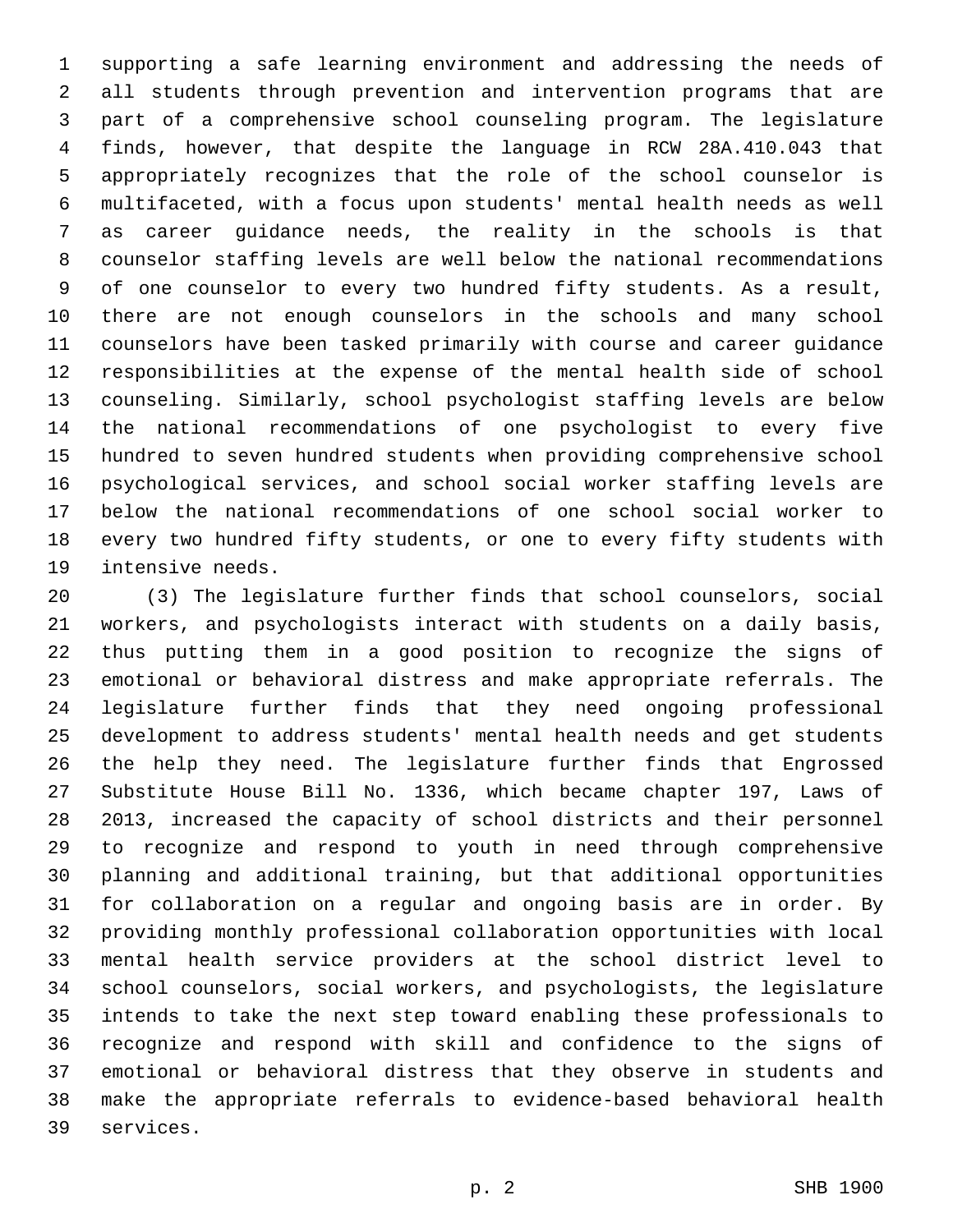supporting a safe learning environment and addressing the needs of all students through prevention and intervention programs that are part of a comprehensive school counseling program. The legislature finds, however, that despite the language in RCW 28A.410.043 that appropriately recognizes that the role of the school counselor is multifaceted, with a focus upon students' mental health needs as well as career guidance needs, the reality in the schools is that counselor staffing levels are well below the national recommendations of one counselor to every two hundred fifty students. As a result, there are not enough counselors in the schools and many school counselors have been tasked primarily with course and career guidance responsibilities at the expense of the mental health side of school counseling. Similarly, school psychologist staffing levels are below the national recommendations of one psychologist to every five hundred to seven hundred students when providing comprehensive school psychological services, and school social worker staffing levels are below the national recommendations of one school social worker to every two hundred fifty students, or one to every fifty students with 19 intensive needs.

 (3) The legislature further finds that school counselors, social workers, and psychologists interact with students on a daily basis, thus putting them in a good position to recognize the signs of emotional or behavioral distress and make appropriate referrals. The legislature further finds that they need ongoing professional development to address students' mental health needs and get students the help they need. The legislature further finds that Engrossed Substitute House Bill No. 1336, which became chapter 197, Laws of 2013, increased the capacity of school districts and their personnel to recognize and respond to youth in need through comprehensive planning and additional training, but that additional opportunities for collaboration on a regular and ongoing basis are in order. By providing monthly professional collaboration opportunities with local mental health service providers at the school district level to school counselors, social workers, and psychologists, the legislature intends to take the next step toward enabling these professionals to recognize and respond with skill and confidence to the signs of emotional or behavioral distress that they observe in students and make the appropriate referrals to evidence-based behavioral health 39 services.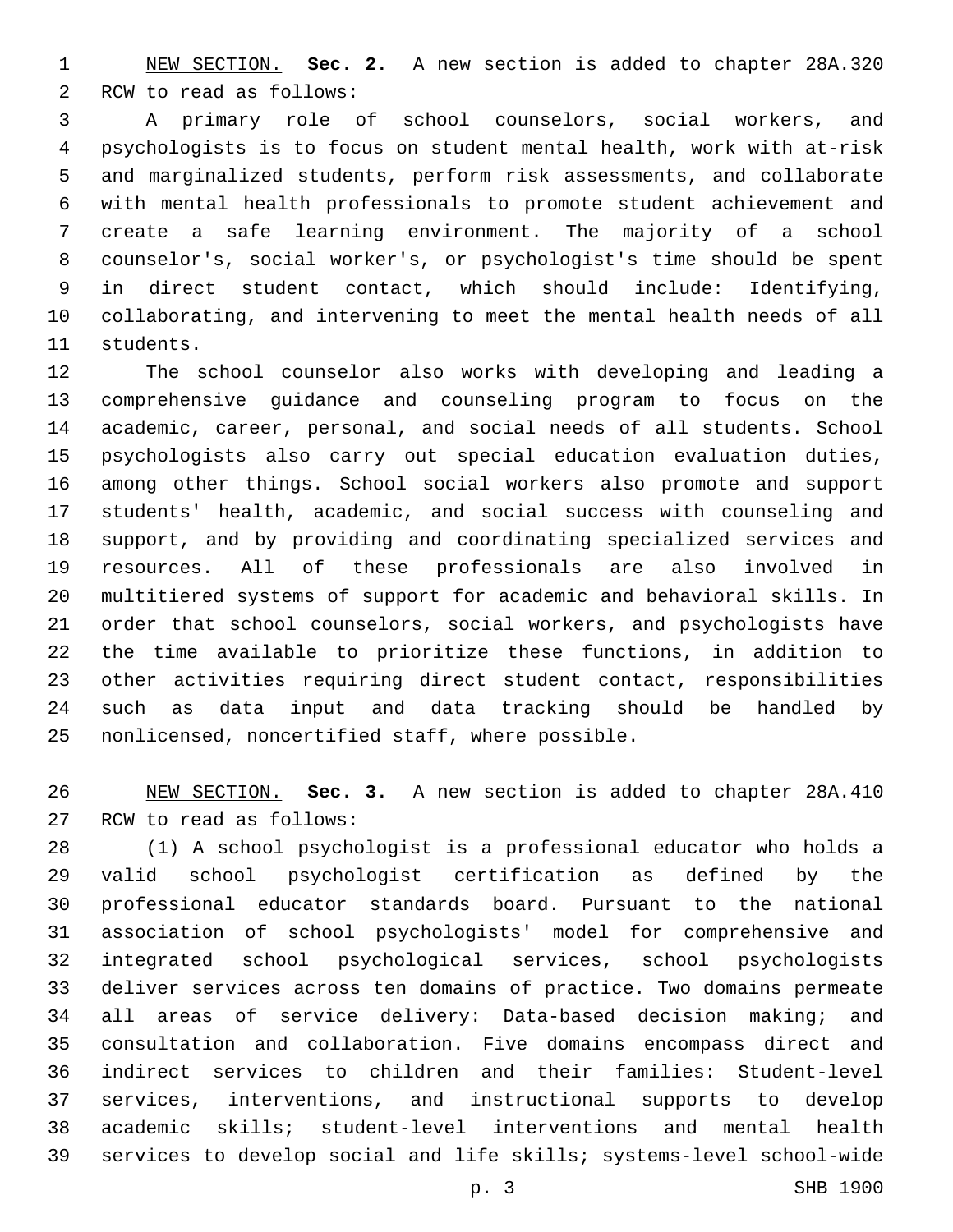NEW SECTION. **Sec. 2.** A new section is added to chapter 28A.320 2 RCW to read as follows:

 A primary role of school counselors, social workers, and psychologists is to focus on student mental health, work with at-risk and marginalized students, perform risk assessments, and collaborate with mental health professionals to promote student achievement and create a safe learning environment. The majority of a school counselor's, social worker's, or psychologist's time should be spent in direct student contact, which should include: Identifying, collaborating, and intervening to meet the mental health needs of all 11 students.

 The school counselor also works with developing and leading a comprehensive guidance and counseling program to focus on the academic, career, personal, and social needs of all students. School psychologists also carry out special education evaluation duties, among other things. School social workers also promote and support students' health, academic, and social success with counseling and support, and by providing and coordinating specialized services and resources. All of these professionals are also involved in multitiered systems of support for academic and behavioral skills. In order that school counselors, social workers, and psychologists have the time available to prioritize these functions, in addition to other activities requiring direct student contact, responsibilities such as data input and data tracking should be handled by 25 nonlicensed, noncertified staff, where possible.

 NEW SECTION. **Sec. 3.** A new section is added to chapter 28A.410 27 RCW to read as follows:

 (1) A school psychologist is a professional educator who holds a valid school psychologist certification as defined by the professional educator standards board. Pursuant to the national association of school psychologists' model for comprehensive and integrated school psychological services, school psychologists deliver services across ten domains of practice. Two domains permeate all areas of service delivery: Data-based decision making; and consultation and collaboration. Five domains encompass direct and indirect services to children and their families: Student-level services, interventions, and instructional supports to develop academic skills; student-level interventions and mental health services to develop social and life skills; systems-level school-wide

p. 3 SHB 1900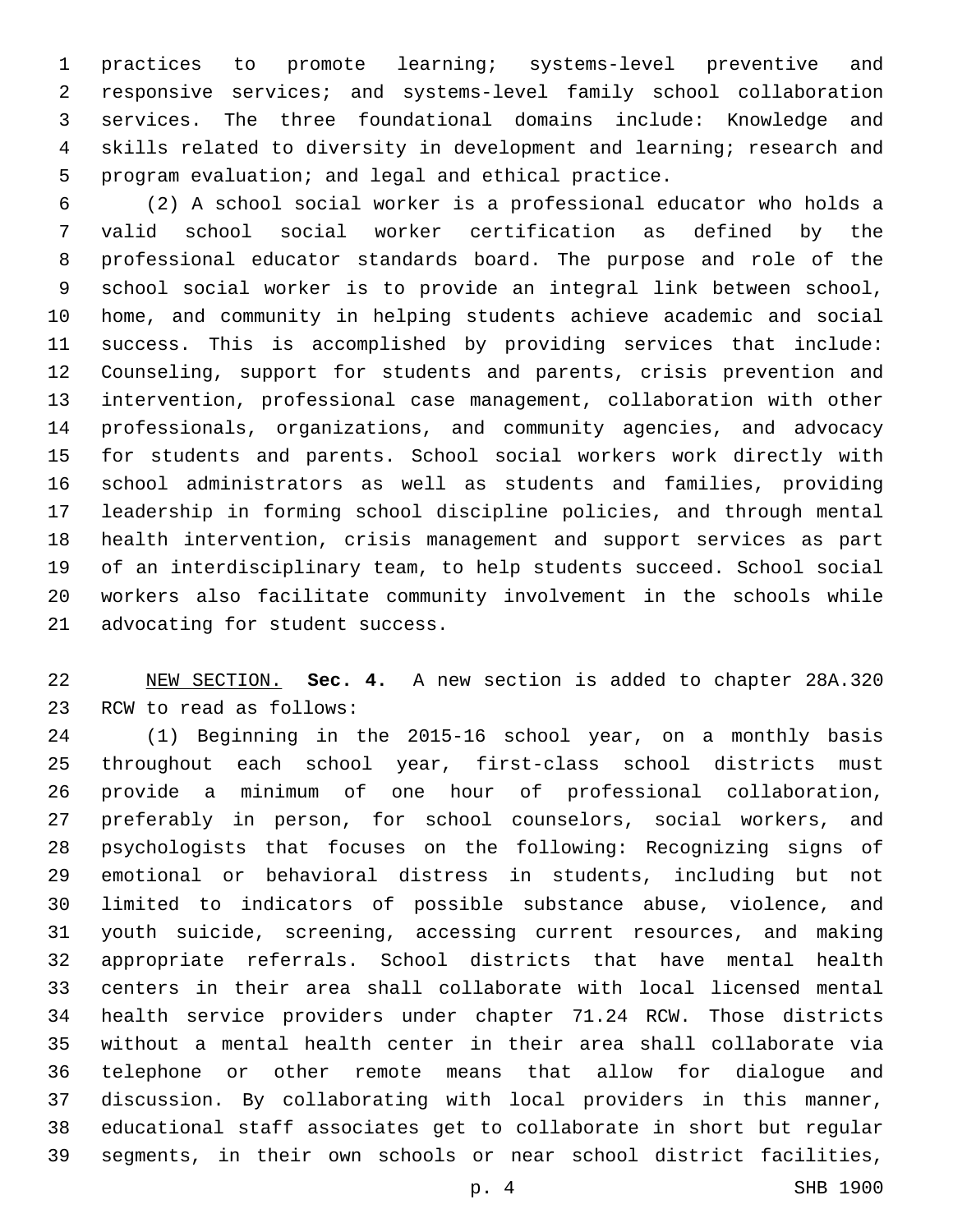practices to promote learning; systems-level preventive and responsive services; and systems-level family school collaboration services. The three foundational domains include: Knowledge and skills related to diversity in development and learning; research and program evaluation; and legal and ethical practice.

 (2) A school social worker is a professional educator who holds a valid school social worker certification as defined by the professional educator standards board. The purpose and role of the school social worker is to provide an integral link between school, home, and community in helping students achieve academic and social success. This is accomplished by providing services that include: Counseling, support for students and parents, crisis prevention and intervention, professional case management, collaboration with other professionals, organizations, and community agencies, and advocacy for students and parents. School social workers work directly with school administrators as well as students and families, providing leadership in forming school discipline policies, and through mental health intervention, crisis management and support services as part of an interdisciplinary team, to help students succeed. School social workers also facilitate community involvement in the schools while 21 advocating for student success.

 NEW SECTION. **Sec. 4.** A new section is added to chapter 28A.320 23 RCW to read as follows:

 (1) Beginning in the 2015-16 school year, on a monthly basis throughout each school year, first-class school districts must provide a minimum of one hour of professional collaboration, preferably in person, for school counselors, social workers, and psychologists that focuses on the following: Recognizing signs of emotional or behavioral distress in students, including but not limited to indicators of possible substance abuse, violence, and youth suicide, screening, accessing current resources, and making appropriate referrals. School districts that have mental health centers in their area shall collaborate with local licensed mental health service providers under chapter 71.24 RCW. Those districts without a mental health center in their area shall collaborate via telephone or other remote means that allow for dialogue and discussion. By collaborating with local providers in this manner, educational staff associates get to collaborate in short but regular segments, in their own schools or near school district facilities,